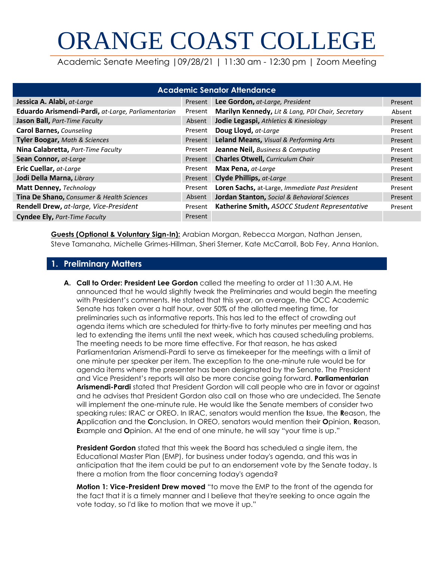# ORANGE COAST COLLEGE

Academic Senate Meeting |09/28/21 | 11:30 am - 12:30 pm | Zoom Meeting

| <b>Academic Senator Attendance</b>                 |         |                                                   |         |  |  |
|----------------------------------------------------|---------|---------------------------------------------------|---------|--|--|
| Jessica A. Alabi, at-Large                         | Present | Lee Gordon, at-Large, President                   | Present |  |  |
| Eduardo Arismendi-Pardi, at-Large, Parliamentarian | Present | Marilyn Kennedy, Lit & Lang, PDI Chair, Secretary | Absent  |  |  |
| Jason Ball, Part-Time Faculty                      | Absent  | Jodie Legaspi, Athletics & Kinesiology            | Present |  |  |
| <b>Carol Barnes, Counseling</b>                    | Present | Doug Lloyd, at-Large                              | Present |  |  |
| Tyler Boogar, Math & Sciences                      | Present | Leland Means, Visual & Performing Arts            | Present |  |  |
| Nina Calabretta, Part-Time Faculty                 | Present | <b>Jeanne Neil, Business &amp; Computing</b>      | Present |  |  |
| Sean Connor, at-Large                              | Present | <b>Charles Otwell, Curriculum Chair</b>           | Present |  |  |
| Eric Cuellar, at-Large                             | Present | Max Pena, at-Large                                | Present |  |  |
| Jodi Della Marna, Library                          | Present | <b>Clyde Phillips, at-Large</b>                   | Present |  |  |
| Matt Denney, Technology                            | Present | Loren Sachs, at-Large, Immediate Past President   | Present |  |  |
| Tina De Shano, Consumer & Health Sciences          | Absent  | Jordan Stanton, Social & Behavioral Sciences      | Present |  |  |
| Rendell Drew, at-large, Vice-President             | Present | Katherine Smith, ASOCC Student Representative     | Present |  |  |
| <b>Cyndee Ely, Part-Time Faculty</b>               | Present |                                                   |         |  |  |

**Guests (Optional & Voluntary Sign-In):** Arabian Morgan, Rebecca Morgan, Nathan Jensen, Steve Tamanaha, Michelle Grimes-Hillman, Sheri Sterner, Kate McCarroll, Bob Fey, Anna Hanlon.

# **1. Preliminary Matters**

**A. Call to Order: President Lee Gordon** called the meeting to order at 11:30 A.M. He announced that he would slightly tweak the Preliminaries and would begin the meeting with President's comments. He stated that this year, on average, the OCC Academic Senate has taken over a half hour, over 50% of the allotted meeting time, for preliminaries such as informative reports. This has led to the effect of crowding out agenda items which are scheduled for thirty-five to forty minutes per meeting and has led to extending the items until the next week, which has caused scheduling problems. The meeting needs to be more time effective. For that reason, he has asked Parliamentarian Arismendi-Pardi to serve as timekeeper for the meetings with a limit of one minute per speaker per item. The exception to the one-minute rule would be for agenda items where the presenter has been designated by the Senate. The President and Vice President's reports will also be more concise going forward. **Parliamentarian Arismendi-Pardi** stated that President Gordon will call people who are in favor or against and he advises that President Gordon also call on those who are undecided. The Senate will implement the one-minute rule. He would like the Senate members of consider two speaking rules: IRAC or OREO. In IRAC, senators would mention the **I**ssue, the **R**eason, the **A**pplication and the **C**onclusion. In OREO, senators would mention their **O**pinion, **R**eason, **E**xample and **O**pinion. At the end of one minute, he will say "your time is up."

**President Gordon** stated that this week the Board has scheduled a single item, the Educational Master Plan (EMP), for business under today's agenda, and this was in anticipation that the item could be put to an endorsement vote by the Senate today. Is there a motion from the floor concerning today's agenda?

**Motion 1: Vice-President Drew moved** "to move the EMP to the front of the agenda for the fact that it is a timely manner and I believe that they're seeking to once again the vote today, so I'd like to motion that we move it up."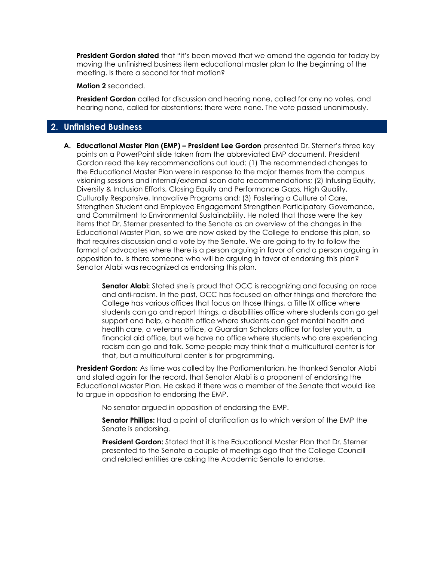**President Gordon stated** that "it's been moved that we amend the agenda for today by moving the unfinished business item educational master plan to the beginning of the meeting. Is there a second for that motion?

#### **Motion 2** seconded.

**President Gordon** called for discussion and hearing none, called for any no votes, and hearing none, called for abstentions; there were none. The vote passed unanimously.

# **2. Unfinished Business**

**A. Educational Master Plan (EMP) – President Lee Gordon** presented Dr. Sterner's three key points on a PowerPoint slide taken from the abbreviated EMP document. President Gordon read the key recommendations out loud: (1) The recommended changes to the Educational Master Plan were in response to the major themes from the campus visioning sessions and internal/external scan data recommendations; (2) Infusing Equity, Diversity & Inclusion Efforts, Closing Equity and Performance Gaps, High Quality, Culturally Responsive, Innovative Programs and; (3) Fostering a Culture of Care, Strengthen Student and Employee Engagement Strengthen Participatory Governance, and Commitment to Environmental Sustainability. He noted that those were the key items that Dr. Sterner presented to the Senate as an overview of the changes in the Educational Master Plan, so we are now asked by the College to endorse this plan, so that requires discussion and a vote by the Senate. We are going to try to follow the format of advocates where there is a person arguing in favor of and a person arguing in opposition to. Is there someone who will be arguing in favor of endorsing this plan? Senator Alabi was recognized as endorsing this plan.

> **Senator Alabi:** Stated she is proud that OCC is recognizing and focusing on race and anti-racism. In the past, OCC has focused on other things and therefore the College has various offices that focus on those things, a Title IX office where students can go and report things, a disabilities office where students can go get support and help, a health office where students can get mental health and health care, a veterans office, a Guardian Scholars office for foster youth, a financial aid office, but we have no office where students who are experiencing racism can go and talk. Some people may think that a multicultural center is for that, but a multicultural center is for programming.

**President Gordon:** As time was called by the Parliamentarian, he thanked Senator Alabi and stated again for the record, that Senator Alabi is a proponent of endorsing the Educational Master Plan. He asked if there was a member of the Senate that would like to argue in opposition to endorsing the EMP.

No senator argued in opposition of endorsing the EMP.

**Senator Phillips:** Had a point of clarification as to which version of the EMP the Senate is endorsing.

**President Gordon:** Stated that it is the Educational Master Plan that Dr. Sterner presented to the Senate a couple of meetings ago that the College Councill and related entities are asking the Academic Senate to endorse.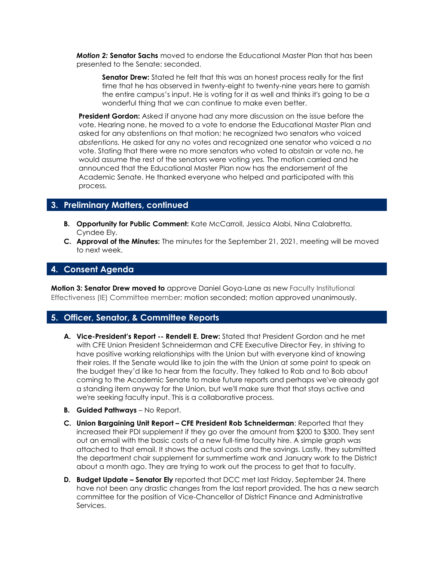*Motion 2:* **Senator Sachs** moved to endorse the Educational Master Plan that has been presented to the Senate; seconded.

**Senator Drew:** Stated he felt that this was an honest process really for the first time that he has observed in twenty-eight to twenty-nine years here to garnish the entire campus's input. He is voting for it as well and thinks it's going to be a wonderful thing that we can continue to make even better.

**President Gordon:** Asked if anyone had any more discussion on the issue before the vote. Hearing none, he moved to a vote to endorse the Educational Master Plan and asked for any abstentions on that motion; he recognized two senators who voiced *abstentions.* He asked for any *no* votes and recognized one senator who voiced a *no*  vote. Stating that there were no more senators who voted to abstain or vote no, he would assume the rest of the senators were voting *yes.* The motion carried and he announced that the Educational Master Plan now has the endorsement of the Academic Senate. He thanked everyone who helped and participated with this process.

# **3. Preliminary Matters, continued**

- **B. Opportunity for Public Comment:** Kate McCarroll, Jessica Alabi, Nina Calabretta, Cyndee Ely.
- **C. Approval of the Minutes:** The minutes for the September 21, 2021, meeting will be moved to next week.

# **4. Consent Agenda**

**Motion 3: Senator Drew moved to** approve Daniel Goya-Lane as new Faculty Institutional Effectiveness (IE) Committee member; motion seconded; motion approved unanimously.

### **5. Officer, Senator, & Committee Reports**

- **A. Vice-President's Report -- Rendell E. Drew:** Stated that President Gordon and he met with CFE Union President Schneiderman and CFE Executive Director Fey, in striving to have positive working relationships with the Union but with everyone kind of knowing their roles. If the Senate would like to join the with the Union at some point to speak on the budget they'd like to hear from the faculty. They talked to Rob and to Bob about coming to the Academic Senate to make future reports and perhaps we've already got a standing item anyway for the Union, but we'll make sure that that stays active and we're seeking faculty input. This is a collaborative process.
- **B. Guided Pathways** No Report.
- **C. Union Bargaining Unit Report – CFE President Rob Schneiderman**: Reported that they increased their PDI supplement if they go over the amount from \$200 to \$300. They sent out an email with the basic costs of a new full-time faculty hire. A simple graph was attached to that email. It shows the actual costs and the savings. Lastly, they submitted the department chair supplement for summertime work and January work to the District about a month ago. They are trying to work out the process to get that to faculty.
- **D. Budget Update – Senator Ely** reported that DCC met last Friday, September 24. There have not been any drastic changes from the last report provided. The has a new search committee for the position of Vice-Chancellor of District Finance and Administrative Services.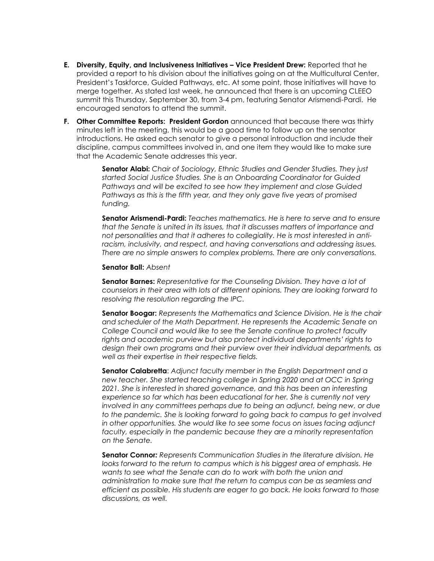- **E. Diversity, Equity, and Inclusiveness Initiatives – Vice President Drew:** Reported that he provided a report to his division about the initiatives going on at the Multicultural Center, President's Taskforce, Guided Pathways, etc. At some point, those initiatives will have to merge together. As stated last week, he announced that there is an upcoming CLEEO summit this Thursday, September 30, from 3-4 pm, featuring Senator Arismendi-Pardi. He encouraged senators to attend the summit.
- **F. Other Committee Reports: President Gordon** announced that because there was thirty minutes left in the meeting, this would be a good time to follow up on the senator introductions. He asked each senator to give a personal introduction and include their discipline, campus committees involved in, and one item they would like to make sure that the Academic Senate addresses this year.

**Senator Alabi:** *Chair of Sociology, Ethnic Studies and Gender Studies. They just started Social Justice Studies. She is an Onboarding Coordinator for Guided Pathways and will be excited to see how they implement and close Guided Pathways as this is the fifth year, and they only gave five years of promised funding.* 

**Senator Arismendi-Pardi:** *Teaches mathematics. He is here to serve and to ensure that the Senate is united in its issues, that it discusses matters of importance and not personalities and that it adheres to collegiality. He is most interested in antiracism, inclusivity, and respect, and having conversations and addressing issues. There are no simple answers to complex problems. There are only conversations.* 

#### **Senator Ball:** *Absent*

**Senator Barnes:** *Representative for the Counseling Division. They have a lot of counselors in their area with lots of different opinions. They are looking forward to resolving the resolution regarding the IPC.*

**Senator Boogar:** *Represents the Mathematics and Science Division. He is the chair and scheduler of the Math Department. He represents the Academic Senate on College Council and would like to see the Senate continue to protect faculty rights and academic purview but also protect individual departments' rights to design their own programs and their purview over their individual departments, as well as their expertise in their respective fields.*

**Senator Calabretta**: *Adjunct faculty member in the English Department and a new teacher. She started teaching college in Spring 2020 and at OCC in Spring 2021. She is interested in shared governance, and this has been an interesting experience so far which has been educational for her. She is currently not very involved in any committees perhaps due to being an adjunct, being new, or due to the pandemic. She is looking forward to going back to campus to get involved in other opportunities. She would like to see some focus on issues facing adjunct faculty, especially in the pandemic because they are a minority representation on the Senate.* 

**Senator Connor***: Represents Communication Studies in the literature division. He looks forward to the return to campus which is his biggest area of emphasis. He wants to see what the Senate can do to work with both the union and administration to make sure that the return to campus can be as seamless and efficient as possible. His students are eager to go back. He looks forward to those discussions, as well.*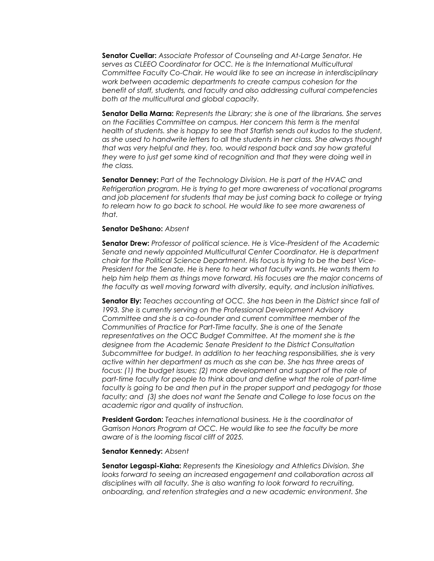**Senator Cuellar:** *Associate Professor of Counseling and At-Large Senator. He*  serves as CLEEO Coordinator for OCC. He is the International Multicultural *Committee Faculty Co-Chair. He would like to see an increase in interdisciplinary work between academic departments to create campus cohesion for the benefit of staff, students, and faculty and also addressing cultural competencies both at the multicultural and global capacity.*

**Senator Della Marna:** *Represents the Library; she is one of the librarians. She serves on the Facilities Committee on campus. Her concern this term is the mental health of students. she is happy to see that Starfish sends out kudos to the student, as she used to handwrite letters to all the students in her class. She always thought that was very helpful and they, too, would respond back and say how grateful they were to just get some kind of recognition and that they were doing well in the class.*

**Senator Denney:** *Part of the Technology Division. He is part of the HVAC and Refrigeration program. He is trying to get more awareness of vocational programs and job placement for students that may be just coming back to college or trying to relearn how to go back to school. He would like to see more awareness of that.*

#### **Senator DeShano:** *Absent*

**Senator Drew:** *Professor of political science. He is Vice-President of the Academic Senate and newly appointed Multicultural Center Coordinator. He is department chair for the Political Science Department. His focus is trying to be the best Vice-President for the Senate. He is here to hear what faculty wants. He wants them to help him help them as things move forward. His focuses are the major concerns of the faculty as well moving forward with diversity, equity, and inclusion initiatives.*

**Senator Ely:** *Teaches accounting at OCC. She has been in the District since fall of 1993. She is currently serving on the Professional Development Advisory Committee and she is a co-founder and current committee member of the Communities of Practice for Part-Time faculty. She is one of the Senate representatives on the OCC Budget Committee. At the moment she is the designee from the Academic Senate President to the District Consultation Subcommittee for budget. In addition to her teaching responsibilities, she is very active within her department as much as she can be. She has three areas of focus: (1) the budget issues; (2) more development and support of the role of part-time faculty for people to think about and define what the role of part-time faculty is going to be and then put in the proper support and pedagogy for those faculty; and (3) she does not want the Senate and College to lose focus on the academic rigor and quality of instruction.*

**President Gordon:** *Teaches international business. He is the coordinator of Garrison Honors Program at OCC. He would like to see the faculty be more aware of is the looming fiscal cliff of 2025.*

#### **Senator Kennedy:** *Absent*

**Senator Legaspi-Kiaha:** *Represents the Kinesiology and Athletics Division. She looks forward to seeing an increased engagement and collaboration across all disciplines with all faculty. She is also wanting to look forward to recruiting, onboarding, and retention strategies and a new academic environment. She*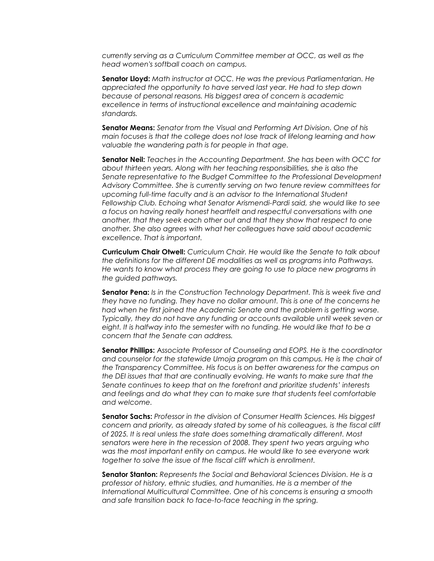*currently serving as a Curriculum Committee member at OCC, as well as the head women's softball coach on campus.*

**Senator Lloyd:** *Math instructor at OCC. He was the previous Parliamentarian. He appreciated the opportunity to have served last year. He had to step down because of personal reasons. His biggest area of concern is academic excellence in terms of instructional excellence and maintaining academic standards.*

**Senator Means:** *Senator from the Visual and Performing Art Division. One of his main focuses is that the college does not lose track of lifelong learning and how valuable the wandering path is for people in that age.*

**Senator Neil:** *Teaches in the Accounting Department. She has been with OCC for about thirteen years. Along with her teaching responsibilities, she is also the Senate representative to the Budget Committee to the Professional Development Advisory Committee. She is currently serving on two tenure review committees for upcoming full-time faculty and is an advisor to the International Student Fellowship Club. Echoing what Senator Arismendi-Pardi said, she would like to see a focus on having really honest heartfelt and respectful conversations with one another, that they seek each other out and that they show that respect to one another. She also agrees with what her colleagues have said about academic excellence. That is important.*

**Curriculum Chair Otwell:** *Curriculum Chair. He would like the Senate to talk about the definitions for the different DE modalities as well as programs into Pathways. He wants to know what process they are going to use to place new programs in the guided pathways.* 

**Senator Pena:** *Is in the Construction Technology Department. This is week five and they have no funding. They have no dollar amount. This is one of the concerns he had when he first joined the Academic Senate and the problem is getting worse. Typically, they do not have any funding or accounts available until week seven or eight. It is halfway into the semester with no funding. He would like that to be a concern that the Senate can address.*

**Senator Phillips:** A*ssociate Professor of Counseling and EOPS. He is the coordinator*  and counselor for the statewide Umoja program on this campus. He is the chair of *the Transparency Committee. His focus is on better awareness for the campus on the DEI issues that that are continually evolving. He wants to make sure that the Senate continues to keep that on the forefront and prioritize students' interests and feelings and do what they can to make sure that students feel comfortable and welcome.* 

**Senator Sachs:** *Professor in the division of Consumer Health Sciences. His biggest concern and priority, as already stated by some of his colleagues, is the fiscal cliff of 2025. It is real unless the state does something dramatically different. Most senators were here in the recession of 2008. They spent two years arguing who was the most important entity on campus. He would like to see everyone work together to solve the issue of the fiscal cliff which is enrollment.* 

**Senator Stanton:** *Represents the Social and Behavioral Sciences Division. He is a professor of history, ethnic studies, and humanities. He is a member of the International Multicultural Committee. One of his concerns is ensuring a smooth and safe transition back to face-to-face teaching in the spring.*